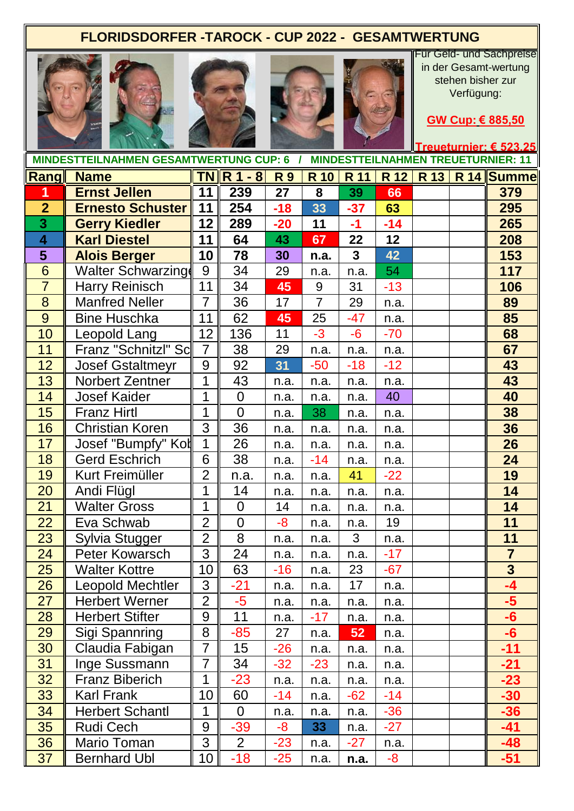## **FLORIDSDORFER -TAROCK - CUP 2022 - GESAMTWERTUNG**









Für Geld- und Sachpreise in der Gesamt-wertung stehen bisher zur Verfügung:

**GW Cup: € 885,50**

|  |  |  |  | Treueturnier: € 523.25 |
|--|--|--|--|------------------------|
|  |  |  |  |                        |

|                         | <b>MINDESTTEILNAHMEN GESAMTWERTUNG CUP: 6 /</b> |                  |                        |           |                | <b>MINDESTTEILNAHMEN TREUETURNIER: 11</b> |       |  |  |                        |  |
|-------------------------|-------------------------------------------------|------------------|------------------------|-----------|----------------|-------------------------------------------|-------|--|--|------------------------|--|
|                         | <b>Rang Name</b>                                |                  | $TN \mid R 1 - 8 \mid$ | <b>R9</b> | <b>R</b> 10    | <b>R</b> 11                               | R 12  |  |  | <b>R 13 R 14 Summe</b> |  |
| 1                       | <b>Ernst Jellen</b>                             | 11               | 239                    | 27        | 8              | 39                                        | 66    |  |  | 379                    |  |
| $\overline{2}$          | <b>Ernesto Schuster</b>                         | 11               | 254                    | $-18$     | 33             | $-37$                                     | 63    |  |  | 295                    |  |
| 3                       | <b>Gerry Kiedler</b>                            | 12               | 289                    | $-20$     | 11             | $-1$                                      | $-14$ |  |  | 265                    |  |
| $\overline{\mathbf{4}}$ | <b>Karl Diestel</b>                             | 11               | 64                     | 43        | 67             | 22                                        | 12    |  |  | 208                    |  |
| 5                       | <b>Alois Berger</b>                             | 10               | 78                     | 30        | n.a.           | $\mathbf{3}$                              | 42    |  |  | 153                    |  |
| 6                       | <b>Walter Schwarzing</b>                        | 9                | 34                     | 29        | n.a.           | n.a.                                      | 54    |  |  | 117                    |  |
| $\overline{7}$          | Harry Reinisch                                  | 11               | 34                     | 45        | 9              | 31                                        | $-13$ |  |  | 106                    |  |
| 8                       | Manfred Neller                                  | $\overline{7}$   | 36                     | 17        | $\overline{7}$ | 29                                        | n.a.  |  |  | 89                     |  |
| $\overline{9}$          | <b>Bine Huschka</b>                             | 11               | 62                     | 45        | 25             | $-47$                                     | n.a.  |  |  | 85                     |  |
| 10                      | Leopold Lang                                    | 12               | 136                    | 11        | $-3$           | $-6$                                      | $-70$ |  |  | 68                     |  |
| 11                      | Franz "Schnitzl" Sc                             | $\overline{7}$   | 38                     | 29        | n.a.           | n.a.                                      | n.a.  |  |  | 67                     |  |
| 12                      | <b>Josef Gstaltmeyr</b>                         | $\boldsymbol{9}$ | 92                     | 31        | $-50$          | $-18$                                     | $-12$ |  |  | 43                     |  |
| 13                      | Norbert Zentner                                 | 1                | 43                     | n.a.      | n.a.           | n.a.                                      | n.a.  |  |  | 43                     |  |
| 14                      | <b>Josef Kaider</b>                             | 1                | $\overline{0}$         | n.a.      | n.a.           | n.a.                                      | 40    |  |  | 40                     |  |
| 15                      | <b>Franz Hirtl</b>                              | 1                | $\overline{0}$         | n.a.      | 38             | n.a.                                      | n.a.  |  |  | 38                     |  |
| 16                      | <b>Christian Koren</b>                          | $\overline{3}$   | 36                     | n.a.      | n.a.           | n.a.                                      | n.a.  |  |  | 36                     |  |
| 17                      | Josef "Bumpfy" Kol                              | $\overline{1}$   | 26                     | n.a.      | n.a.           | n.a.                                      | n.a.  |  |  | 26                     |  |
| 18                      | <b>Gerd Eschrich</b>                            | 6                | 38                     | n.a.      | $-14$          | n.a.                                      | n.a.  |  |  | 24                     |  |
| 19                      | Kurt Freimüller                                 | $\overline{2}$   | n.a.                   | n.a.      | n.a.           | 41                                        | $-22$ |  |  | 19                     |  |
| 20                      | Andi Flügl                                      | 1                | 14                     | n.a.      | n.a.           | n.a.                                      | n.a.  |  |  | 14                     |  |
| 21                      | <b>Walter Gross</b>                             | 1                | $\overline{0}$         | 14        | n.a.           | n.a.                                      | n.a.  |  |  | 14                     |  |
| 22                      | Eva Schwab                                      | $\overline{2}$   | $\mathbf 0$            | -8        | n.a.           | n.a.                                      | 19    |  |  | 11                     |  |
| 23                      | Sylvia Stugger                                  | $\overline{2}$   | $\overline{8}$         | n.a.      | n.a.           | 3                                         | n.a.  |  |  | 11                     |  |
| 24                      | Peter Kowarsch                                  | $\overline{3}$   | 24                     | n.a.      | n.a.           | n.a.                                      | $-17$ |  |  | $\overline{7}$         |  |
| 25                      | <b>Walter Kottre</b>                            | 10               | 63                     | $-16$     | n.a.           | 23                                        | $-67$ |  |  | $\overline{3}$         |  |
| $\overline{26}$         | <b>Leopold Mechtler</b>                         | $\overline{3}$   | $-21$                  | n.a.      | n.a.           | 17                                        | n.a.  |  |  | $-4$                   |  |
| 27                      | <b>Herbert Werner</b>                           | $\overline{2}$   | -5                     | n.a.      | n.a.           | n.a.                                      | n.a.  |  |  | $-5$                   |  |
| 28                      | <b>Herbert Stifter</b>                          | 9                | 11                     | n.a.      | $-17$          | n.a.                                      | n.a.  |  |  | $-6$                   |  |
| 29                      | Sigi Spannring                                  | 8                | $-85$                  | 27        | n.a.           | 52                                        | n.a.  |  |  | $-6$                   |  |
| 30                      | Claudia Fabigan                                 | $\overline{7}$   | 15                     | $-26$     | n.a.           | n.a.                                      | n.a.  |  |  | $-11$                  |  |
| 31                      | Inge Sussmann                                   | $\overline{7}$   | 34                     | $-32$     | $-23$          | n.a.                                      | n.a.  |  |  | $-21$                  |  |
| 32                      | <b>Franz Biberich</b>                           | 1                | $-23$                  | n.a.      | n.a.           | n.a.                                      | n.a.  |  |  | $-23$                  |  |
| 33                      | Karl Frank                                      | 10               | 60                     | $-14$     | n.a.           | $-62$                                     | -14   |  |  | $-30$                  |  |
| 34                      | <b>Herbert Schantl</b>                          | 1                | $\overline{0}$         | n.a.      | n.a.           | n.a.                                      | $-36$ |  |  | $-36$                  |  |
| 35                      | Rudi Cech                                       | 9                | $-39$                  | $-8-$     | 33             | n.a.                                      | $-27$ |  |  | $-41$                  |  |
| 36                      | Mario Toman                                     | 3                | $\overline{2}$         | $-23$     | n.a.           | $-27$                                     | n.a.  |  |  | -48                    |  |
| 37                      | <b>Bernhard Ubl</b>                             | 10               | $-18$                  | $-25$     | n.a.           | n.a.                                      | -8    |  |  | $-51$                  |  |